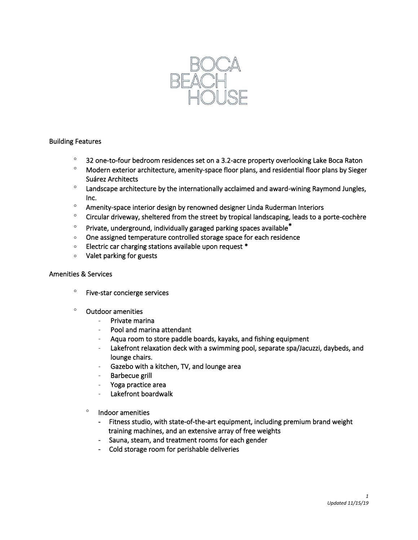

# Building Features

- <sup>o</sup> 32 one-to-four bedroom residences set on a 3.2-acre property overlooking Lake Boca Raton
- <sup>o</sup> Modern exterior architecture, amenity-space floor plans, and residential floor plans by Sieger Suárez Architects
- $\degree$  Landscape architecture by the internationally acclaimed and award-wining Raymond Jungles, Inc.
- Amenity-space interior design by renowned designer Linda Ruderman Interiors
- <sup>o</sup> Circular driveway, sheltered from the street by tropical landscaping, leads to a porte-cochère
- $\degree$  Private, underground, individually garaged parking spaces available<sup>\*</sup>
- One assigned temperature controlled storage space for each residence
- $\circ$ Electric car charging stations available upon request \*
- Valet parking for guests

#### Amenities & Services

- Five-star concierge services
- <sup>o</sup> Outdoor amenities
	- Private marina
	- Pool and marina attendant
	- Aqua room to store paddle boards, kayaks, and fishing equipment
	- Lakefront relaxation deck with a swimming pool, separate spa/Jacuzzi, daybeds, and lounge chairs.
	- Gazebo with a kitchen, TV, and lounge area
	- Barbecue grill
	- Yoga practice area
	- Lakefront boardwalk
	- $^{\circ}$  Indoor amenities
		- Fitness studio, with state-of-the-art equipment, including premium brand weight training machines, and an extensive array of free weights
		- Sauna, steam, and treatment rooms for each gender
		- Cold storage room for perishable deliveries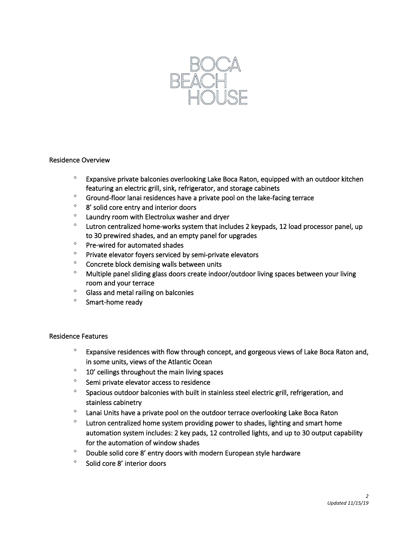

### Residence Overview

- <sup>o</sup> Expansive private balconies overlooking Lake Boca Raton, equipped with an outdoor kitchen featuring an electric grill, sink, refrigerator, and storage cabinets
- Ground-floor lanai residences have a private pool on the lake-facing terrace
- <sup>o</sup> 8' solid core entry and interior doors
- Laundry room with Electrolux washer and dryer
- $\degree$  Lutron centralized home-works system that includes 2 keypads, 12 load processor panel, up to 30 prewired shades, and an empty panel for upgrades
- $\degree$  Pre-wired for automated shades
- $\degree$  Private elevator foyers serviced by semi-private elevators
- <sup>o</sup> Concrete block demising walls between units
- Multiple panel sliding glass doors create indoor/outdoor living spaces between your living room and your terrace
- <sup>o</sup> Glass and metal railing on balconies
- <sup>o</sup> Smart-home ready

### Residence Features

- $\degree$  Expansive residences with flow through concept, and gorgeous views of Lake Boca Raton and, in some units, views of the Atlantic Ocean
- $\degree$  10' ceilings throughout the main living spaces
- <sup>o</sup> Semi private elevator access to residence
- <sup>o</sup> Spacious outdoor balconies with built in stainless steel electric grill, refrigeration, and stainless cabinetry
- $\degree$  Lanai Units have a private pool on the outdoor terrace overlooking Lake Boca Raton
- $\degree$  Lutron centralized home system providing power to shades, lighting and smart home automation system includes: 2 key pads, 12 controlled lights, and up to 30 output capability for the automation of window shades
- $\degree$  Double solid core 8' entry doors with modern European style hardware
- $\degree$  Solid core 8' interior doors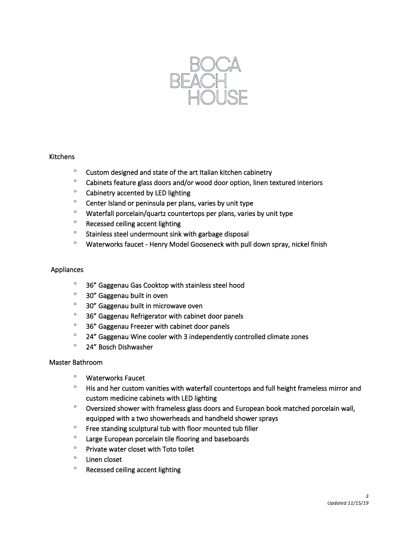

### Kitchens

- $\degree$  Custom designed and state of the art Italian kitchen cabinetry
- Cabinets feature glass doors and/or wood door option, linen textured interiors
- <sup>o</sup> Cabinetry accented by LED lighting
- $\degree$  Center Island or peninsula per plans, varies by unit type
- $\degree$  Waterfall porcelain/quartz countertops per plans, varies by unit type
- <sup>o</sup> Recessed ceiling accent lighting
- $\degree$  Stainless steel undermount sink with garbage disposal
- Waterworks faucet Henry Model Gooseneck with pull down spray, nickel finish

# Appliances

- <sup>o</sup> 36" Gaggenau Gas Cooktop with stainless steel hood
- 30" Gaggenau built in oven
- <sup>o</sup> 30" Gaggenau built in microwave oven
- <sup>o</sup> 36" Gaggenau Refrigerator with cabinet door panels
- <sup>o</sup> 36" Gaggenau Freezer with cabinet door panels
- $\degree$  24" Gaggenau Wine cooler with 3 independently controlled climate zones
- 24" Bosch Dishwasher

# Master Bathroom

- Waterworks Faucet
- <sup>o</sup> His and her custom vanities with waterfall countertops and full height frameless mirror and custom medicine cabinets with LED lighting
- Oversized shower with frameless glass doors and European book matched porcelain wall, equipped with a two showerheads and handheld shower sprays
- $\degree$  Free standing sculptural tub with floor mounted tub filler
- Large European porcelain tile flooring and baseboards
- $\degree$  Private water closet with Toto toilet
- $\degree$  Linen closet
- <sup>o</sup> Recessed ceiling accent lighting